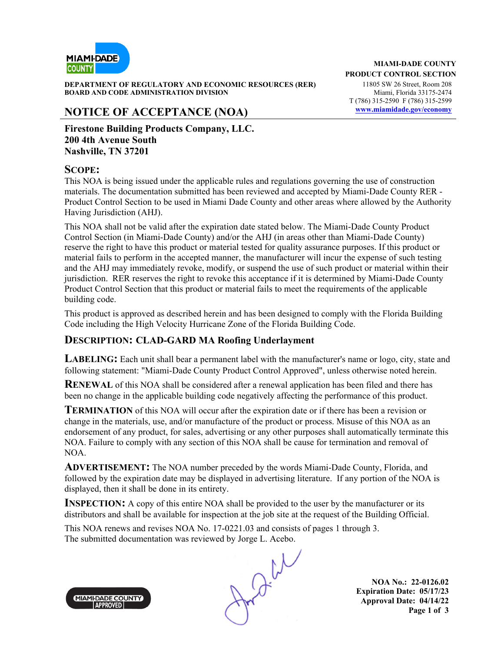

**DEPARTMENT OF REGULATORY AND ECONOMIC RESOURCES (RER)** 11805 SW 26 Street, Room 208 **BOARD AND CODE ADMINISTRATION DIVISION Miami, Florida 33175-2474** 

## **NOTICE OF ACCEPTANCE (NOA) www.miamidade.gov/economy**

**Firestone Building Products Company, LLC. 200 4th Avenue South Nashville, TN 37201**

#### **SCOPE:**

This NOA is being issued under the applicable rules and regulations governing the use of construction materials. The documentation submitted has been reviewed and accepted by Miami-Dade County RER - Product Control Section to be used in Miami Dade County and other areas where allowed by the Authority Having Jurisdiction (AHJ).

This NOA shall not be valid after the expiration date stated below. The Miami-Dade County Product Control Section (in Miami-Dade County) and/or the AHJ (in areas other than Miami-Dade County) reserve the right to have this product or material tested for quality assurance purposes. If this product or material fails to perform in the accepted manner, the manufacturer will incur the expense of such testing and the AHJ may immediately revoke, modify, or suspend the use of such product or material within their jurisdiction. RER reserves the right to revoke this acceptance if it is determined by Miami-Dade County Product Control Section that this product or material fails to meet the requirements of the applicable building code.

This product is approved as described herein and has been designed to comply with the Florida Building Code including the High Velocity Hurricane Zone of the Florida Building Code.

#### **DESCRIPTION: CLAD-GARD MA Roofing Underlayment**

**LABELING:** Each unit shall bear a permanent label with the manufacturer's name or logo, city, state and following statement: "Miami-Dade County Product Control Approved", unless otherwise noted herein.

**RENEWAL** of this NOA shall be considered after a renewal application has been filed and there has been no change in the applicable building code negatively affecting the performance of this product.

**TERMINATION** of this NOA will occur after the expiration date or if there has been a revision or change in the materials, use, and/or manufacture of the product or process. Misuse of this NOA as an endorsement of any product, for sales, advertising or any other purposes shall automatically terminate this NOA. Failure to comply with any section of this NOA shall be cause for termination and removal of NOA.

**ADVERTISEMENT:** The NOA number preceded by the words Miami-Dade County, Florida, and followed by the expiration date may be displayed in advertising literature. If any portion of the NOA is displayed, then it shall be done in its entirety.

**INSPECTION:** A copy of this entire NOA shall be provided to the user by the manufacturer or its distributors and shall be available for inspection at the job site at the request of the Building Official.

This NOA renews and revises NOA No. 17-0221.03 and consists of pages 1 through 3.

The submitted documentation was reviewed by Jorge L. Acebo.<br>
MIANI-DADE COUNTY APPROVED

**NOA No.: 22-0126.02 Expiration Date: 05/17/23 Approval Date: 04/14/22 Page 1 of 3** 

**MIAMI-DADE COUNTY APPROVED** 

**MIAMI-DADE COUNTY PRODUCT CONTROL SECTION**

T (786) 315-2590 F (786) 315-2599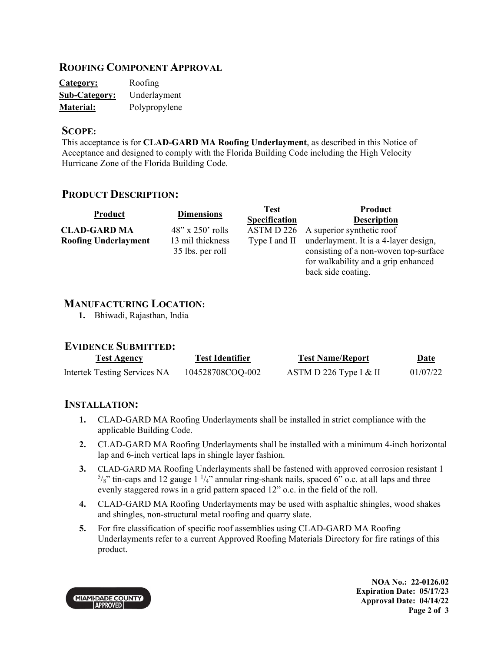## **ROOFING COMPONENT APPROVAL**

| <b>Category:</b>     | Roofing       |
|----------------------|---------------|
| <b>Sub-Category:</b> | Underlayment  |
| <b>Material:</b>     | Polypropylene |

#### **SCOPE:**

This acceptance is for **CLAD-GARD MA Roofing Underlayment**, as described in this Notice of Acceptance and designed to comply with the Florida Building Code including the High Velocity Hurricane Zone of the Florida Building Code.

## **PRODUCT DESCRIPTION:**

| Product                     | <b>Dimensions</b>                    | <b>Test</b>          | Product                                                                                                               |
|-----------------------------|--------------------------------------|----------------------|-----------------------------------------------------------------------------------------------------------------------|
|                             |                                      | <b>Specification</b> | <b>Description</b>                                                                                                    |
| <b>CLAD-GARD MA</b>         | $48"$ x 250' rolls                   |                      | ASTM D 226 A superior synthetic roof                                                                                  |
| <b>Roofing Underlayment</b> | 13 mil thickness<br>35 lbs. per roll | Type I and II        | underlayment. It is a 4-layer design,<br>consisting of a non-woven top-surface<br>for walkability and a grip enhanced |
|                             |                                      |                      | back side coating.                                                                                                    |

#### **MANUFACTURING LOCATION:**

**1.** Bhiwadi, Rajasthan, India

#### **EVIDENCE SUBMITTED:**

| <b>Test Agency</b>                  | Test Identifier  | <b>Test Name/Report</b> | <u>Date</u> |
|-------------------------------------|------------------|-------------------------|-------------|
| <b>Intertek Testing Services NA</b> | 104528708COQ-002 | ASTM D 226 Type I & II  | 01/07/22    |

## **INSTALLATION:**

- **1.** CLAD-GARD MA Roofing Underlayments shall be installed in strict compliance with the applicable Building Code.
- **2.** CLAD-GARD MA Roofing Underlayments shall be installed with a minimum 4-inch horizontal lap and 6-inch vertical laps in shingle layer fashion.
- **3.** CLAD-GARD MA Roofing Underlayments shall be fastened with approved corrosion resistant 1  $5/8$ " tin-caps and 12 gauge 1  $\frac{1}{4}$ " annular ring-shank nails, spaced 6" o.c. at all laps and three evenly staggered rows in a grid pattern spaced 12" o.c. in the field of the roll.
- **4.** CLAD-GARD MA Roofing Underlayments may be used with asphaltic shingles, wood shakes and shingles, non-structural metal roofing and quarry slate.
- **5.** For fire classification of specific roof assemblies using CLAD-GARD MA Roofing Underlayments refer to a current Approved Roofing Materials Directory for fire ratings of this product.

MIAMI-DADE COUNTY

**NOA No.: 22-0126.02 Expiration Date: 05/17/23 Approval Date: 04/14/22 Page 2 of 3**